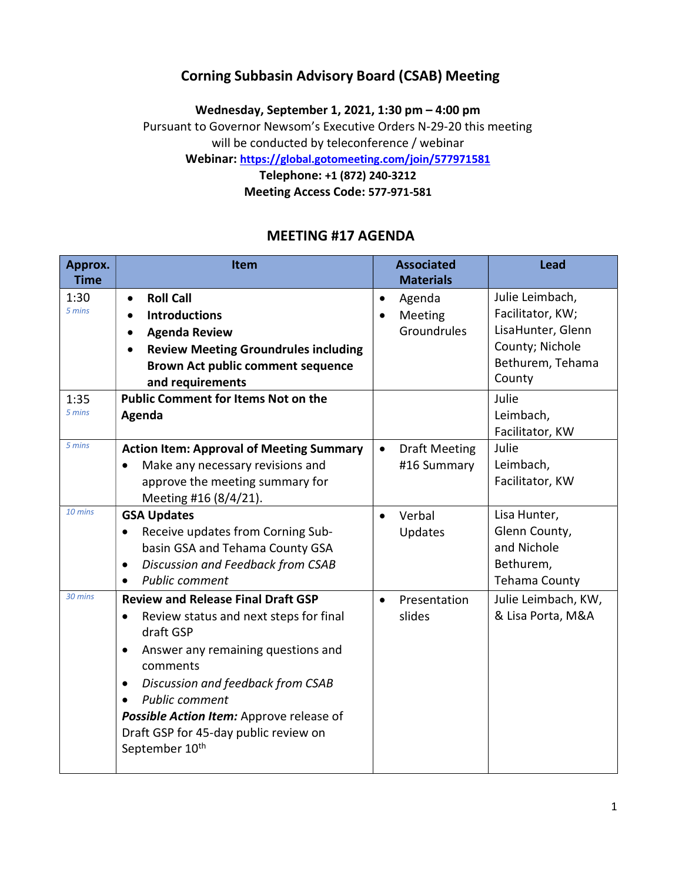### Corning Subbasin Advisory Board (CSAB) Meeting

Wednesday, September 1, 2021, 1:30 pm – 4:00 pm Pursuant to Governor Newsom's Executive Orders N-29-20 this meeting

will be conducted by teleconference / webinar

Webinar: https://global.gotomeeting.com/join/577971581

Telephone: +1 (872) 240-3212 Meeting Access Code: 577-971-581

## MEETING #17 AGENDA

| Approx.<br><b>Time</b> | Item                                                                                                                                                                                                                                                                                                                                                                       | <b>Associated</b><br><b>Materials</b>            | <b>Lead</b>                                                                                                        |
|------------------------|----------------------------------------------------------------------------------------------------------------------------------------------------------------------------------------------------------------------------------------------------------------------------------------------------------------------------------------------------------------------------|--------------------------------------------------|--------------------------------------------------------------------------------------------------------------------|
| 1:30<br>5 mins<br>1:35 | <b>Roll Call</b><br>$\bullet$<br><b>Introductions</b><br>$\bullet$<br><b>Agenda Review</b><br>$\bullet$<br><b>Review Meeting Groundrules including</b><br>$\bullet$<br><b>Brown Act public comment sequence</b><br>and requirements<br><b>Public Comment for Items Not on the</b>                                                                                          | Agenda<br>$\bullet$<br>Meeting<br>Groundrules    | Julie Leimbach,<br>Facilitator, KW;<br>LisaHunter, Glenn<br>County; Nichole<br>Bethurem, Tehama<br>County<br>Julie |
| 5 mins                 | Agenda                                                                                                                                                                                                                                                                                                                                                                     |                                                  | Leimbach,<br>Facilitator, KW                                                                                       |
| 5 mins                 | <b>Action Item: Approval of Meeting Summary</b><br>Make any necessary revisions and<br>$\bullet$<br>approve the meeting summary for<br>Meeting #16 (8/4/21).                                                                                                                                                                                                               | <b>Draft Meeting</b><br>$\bullet$<br>#16 Summary | Julie<br>Leimbach,<br>Facilitator, KW                                                                              |
| 10 mins                | <b>GSA Updates</b><br>Receive updates from Corning Sub-<br>$\bullet$<br>basin GSA and Tehama County GSA<br>Discussion and Feedback from CSAB<br>$\bullet$<br><b>Public comment</b>                                                                                                                                                                                         | Verbal<br>$\bullet$<br>Updates                   | Lisa Hunter,<br>Glenn County,<br>and Nichole<br>Bethurem,<br>Tehama County                                         |
| 30 mins                | <b>Review and Release Final Draft GSP</b><br>Review status and next steps for final<br>$\bullet$<br>draft GSP<br>Answer any remaining questions and<br>$\bullet$<br>comments<br>Discussion and feedback from CSAB<br>$\bullet$<br><b>Public comment</b><br>Possible Action Item: Approve release of<br>Draft GSP for 45-day public review on<br>September 10 <sup>th</sup> | Presentation<br>$\bullet$<br>slides              | Julie Leimbach, KW,<br>& Lisa Porta, M&A                                                                           |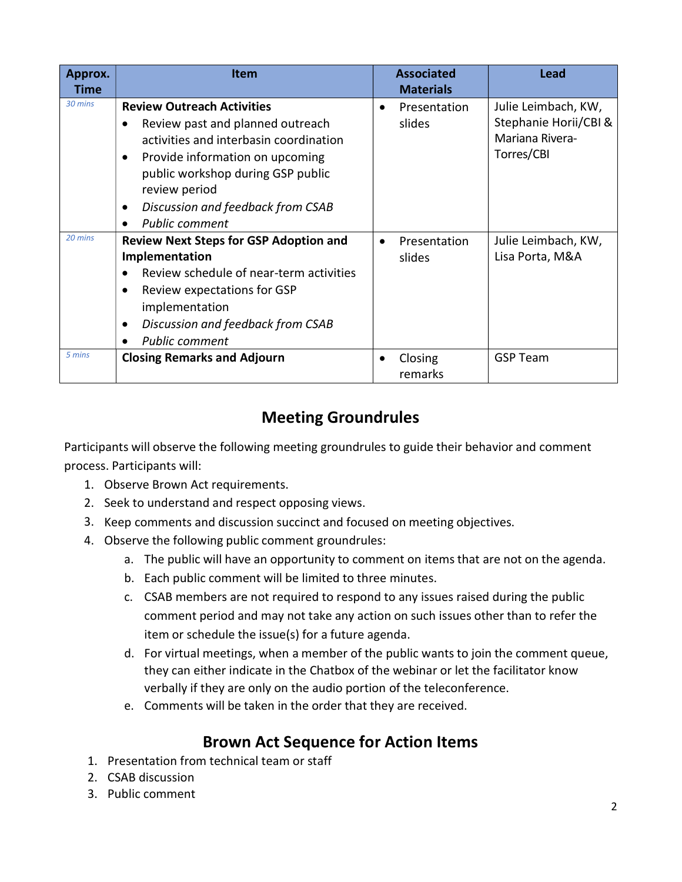| Approx.<br>Time | <b>Item</b>                                                                                                                                                                                                               |           | <b>Associated</b><br><b>Materials</b> | Lead                                                            |
|-----------------|---------------------------------------------------------------------------------------------------------------------------------------------------------------------------------------------------------------------------|-----------|---------------------------------------|-----------------------------------------------------------------|
| 30 mins         | <b>Review Outreach Activities</b><br>Review past and planned outreach                                                                                                                                                     | $\bullet$ | Presentation<br>slides                | Julie Leimbach, KW,<br>Stephanie Horii/CBI &<br>Mariana Rivera- |
|                 | activities and interbasin coordination<br>Provide information on upcoming<br>public workshop during GSP public<br>review period                                                                                           |           |                                       | Torres/CBI                                                      |
|                 | Discussion and feedback from CSAB<br><b>Public comment</b>                                                                                                                                                                |           |                                       |                                                                 |
| 20 mins         | <b>Review Next Steps for GSP Adoption and</b><br>Implementation<br>Review schedule of near-term activities<br>Review expectations for GSP<br>implementation<br>Discussion and feedback from CSAB<br><b>Public comment</b> | ٠         | Presentation<br>slides                | Julie Leimbach, KW,<br>Lisa Porta, M&A                          |
| 5 mins          | <b>Closing Remarks and Adjourn</b>                                                                                                                                                                                        | ٠         | Closing<br>remarks                    | <b>GSP Team</b>                                                 |

# Meeting Groundrules

Participants will observe the following meeting groundrules to guide their behavior and comment process. Participants will:

- 1. Observe Brown Act requirements.
- 2. Seek to understand and respect opposing views.
- 3. Keep comments and discussion succinct and focused on meeting objectives.
- 4. Observe the following public comment groundrules:
	- a. The public will have an opportunity to comment on items that are not on the agenda.
	- b. Each public comment will be limited to three minutes.
	- c. CSAB members are not required to respond to any issues raised during the public comment period and may not take any action on such issues other than to refer the item or schedule the issue(s) for a future agenda.
	- d. For virtual meetings, when a member of the public wants to join the comment queue, they can either indicate in the Chatbox of the webinar or let the facilitator know verbally if they are only on the audio portion of the teleconference.
	- e. Comments will be taken in the order that they are received.

## Brown Act Sequence for Action Items

- 1. Presentation from technical team or staff
- 2. CSAB discussion
- 3. Public comment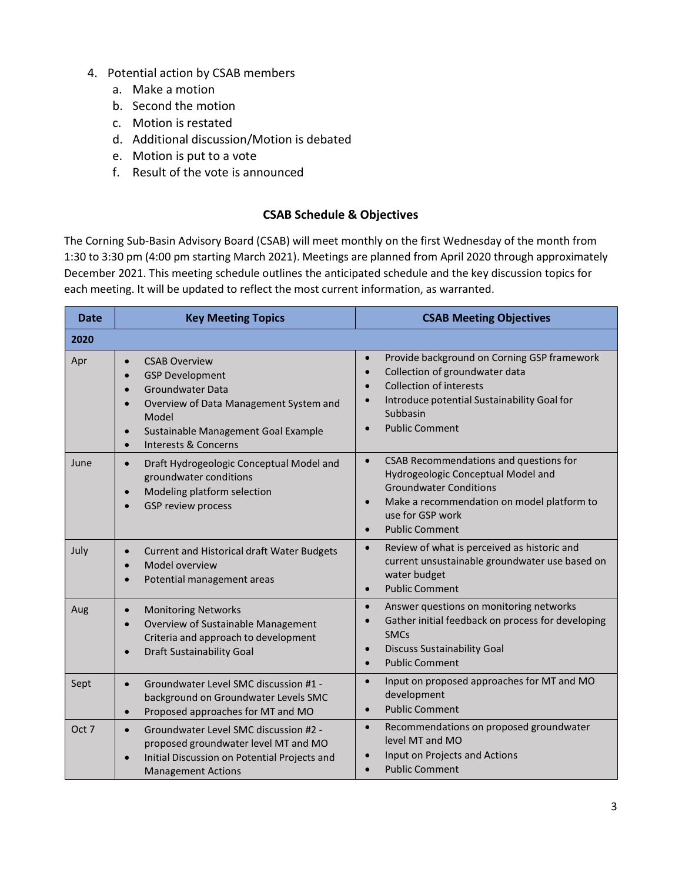- 4. Potential action by CSAB members
	- a. Make a motion
	- b. Second the motion
	- c. Motion is restated
	- d. Additional discussion/Motion is debated
	- e. Motion is put to a vote
	- f. Result of the vote is announced

### CSAB Schedule & Objectives

The Corning Sub-Basin Advisory Board (CSAB) will meet monthly on the first Wednesday of the month from 1:30 to 3:30 pm (4:00 pm starting March 2021). Meetings are planned from April 2020 through approximately December 2021. This meeting schedule outlines the anticipated schedule and the key discussion topics for each meeting. It will be updated to reflect the most current information, as warranted.

| <b>Date</b> | <b>Key Meeting Topics</b>                                                                                                                                                                                                                                                     | <b>CSAB Meeting Objectives</b>                                                                                                                                                                                                                          |  |
|-------------|-------------------------------------------------------------------------------------------------------------------------------------------------------------------------------------------------------------------------------------------------------------------------------|---------------------------------------------------------------------------------------------------------------------------------------------------------------------------------------------------------------------------------------------------------|--|
| 2020        |                                                                                                                                                                                                                                                                               |                                                                                                                                                                                                                                                         |  |
| Apr         | <b>CSAB Overview</b><br>$\bullet$<br><b>GSP Development</b><br>$\bullet$<br>Groundwater Data<br>$\bullet$<br>Overview of Data Management System and<br>$\bullet$<br>Model<br>Sustainable Management Goal Example<br>$\bullet$<br><b>Interests &amp; Concerns</b><br>$\bullet$ | Provide background on Corning GSP framework<br>$\bullet$<br>Collection of groundwater data<br>$\bullet$<br><b>Collection of interests</b><br>$\bullet$<br>Introduce potential Sustainability Goal for<br>Subbasin<br><b>Public Comment</b><br>$\bullet$ |  |
| June        | Draft Hydrogeologic Conceptual Model and<br>$\bullet$<br>groundwater conditions<br>Modeling platform selection<br>$\bullet$<br><b>GSP review process</b><br>$\bullet$                                                                                                         | CSAB Recommendations and questions for<br>$\bullet$<br>Hydrogeologic Conceptual Model and<br><b>Groundwater Conditions</b><br>Make a recommendation on model platform to<br>$\bullet$<br>use for GSP work<br><b>Public Comment</b><br>$\bullet$         |  |
| July        | Current and Historical draft Water Budgets<br>$\bullet$<br>Model overview<br>$\bullet$<br>Potential management areas<br>$\bullet$                                                                                                                                             | Review of what is perceived as historic and<br>$\bullet$<br>current unsustainable groundwater use based on<br>water budget<br><b>Public Comment</b><br>$\bullet$                                                                                        |  |
| Aug         | <b>Monitoring Networks</b><br>$\bullet$<br>Overview of Sustainable Management<br>$\bullet$<br>Criteria and approach to development<br><b>Draft Sustainability Goal</b><br>$\bullet$                                                                                           | Answer questions on monitoring networks<br>$\bullet$<br>Gather initial feedback on process for developing<br><b>SMCs</b><br><b>Discuss Sustainability Goal</b><br>$\bullet$<br><b>Public Comment</b><br>$\bullet$                                       |  |
| Sept        | Groundwater Level SMC discussion #1 -<br>$\bullet$<br>background on Groundwater Levels SMC<br>Proposed approaches for MT and MO<br>$\bullet$                                                                                                                                  | Input on proposed approaches for MT and MO<br>$\bullet$<br>development<br><b>Public Comment</b><br>$\bullet$                                                                                                                                            |  |
| Oct 7       | Groundwater Level SMC discussion #2 -<br>$\bullet$<br>proposed groundwater level MT and MO<br>Initial Discussion on Potential Projects and<br>$\bullet$<br><b>Management Actions</b>                                                                                          | Recommendations on proposed groundwater<br>$\bullet$<br>level MT and MO<br>Input on Projects and Actions<br><b>Public Comment</b><br>$\bullet$                                                                                                          |  |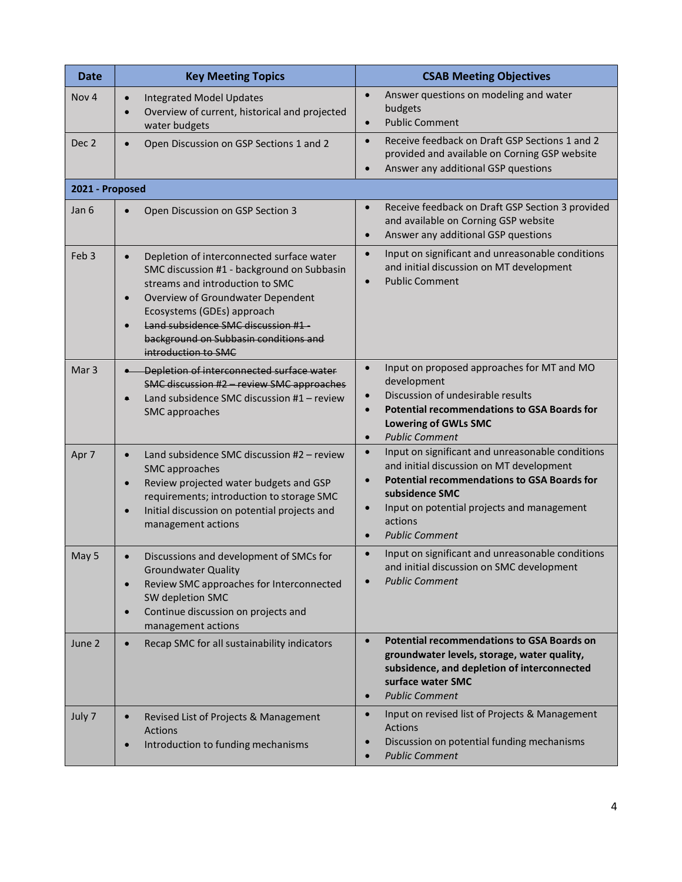| <b>Date</b>      | <b>Key Meeting Topics</b>                                                                                                                                                                                                                                                                                                                  | <b>CSAB Meeting Objectives</b>                                                                                                                                                                                                                                                                |
|------------------|--------------------------------------------------------------------------------------------------------------------------------------------------------------------------------------------------------------------------------------------------------------------------------------------------------------------------------------------|-----------------------------------------------------------------------------------------------------------------------------------------------------------------------------------------------------------------------------------------------------------------------------------------------|
| Nov <sub>4</sub> | <b>Integrated Model Updates</b><br>$\bullet$<br>Overview of current, historical and projected<br>$\bullet$<br>water budgets                                                                                                                                                                                                                | Answer questions on modeling and water<br>$\bullet$<br>budgets<br><b>Public Comment</b><br>$\bullet$                                                                                                                                                                                          |
| Dec <sub>2</sub> | Open Discussion on GSP Sections 1 and 2<br>$\bullet$                                                                                                                                                                                                                                                                                       | Receive feedback on Draft GSP Sections 1 and 2<br>$\bullet$<br>provided and available on Corning GSP website<br>Answer any additional GSP questions<br>$\bullet$                                                                                                                              |
| 2021 - Proposed  |                                                                                                                                                                                                                                                                                                                                            |                                                                                                                                                                                                                                                                                               |
| Jan 6            | Open Discussion on GSP Section 3<br>$\bullet$                                                                                                                                                                                                                                                                                              | Receive feedback on Draft GSP Section 3 provided<br>and available on Corning GSP website<br>Answer any additional GSP questions<br>$\bullet$                                                                                                                                                  |
| Feb <sub>3</sub> | Depletion of interconnected surface water<br>$\bullet$<br>SMC discussion #1 - background on Subbasin<br>streams and introduction to SMC<br>Overview of Groundwater Dependent<br>$\bullet$<br>Ecosystems (GDEs) approach<br>Land subsidence SMC discussion #1-<br>$\bullet$<br>background on Subbasin conditions and<br>introduction to SMC | Input on significant and unreasonable conditions<br>$\bullet$<br>and initial discussion on MT development<br><b>Public Comment</b><br>$\bullet$                                                                                                                                               |
| Mar <sub>3</sub> | Depletion of interconnected surface water<br>SMC discussion #2 - review SMC approaches<br>Land subsidence SMC discussion $#1$ – review<br>$\bullet$<br>SMC approaches                                                                                                                                                                      | Input on proposed approaches for MT and MO<br>$\bullet$<br>development<br>Discussion of undesirable results<br>$\bullet$<br><b>Potential recommendations to GSA Boards for</b><br>$\bullet$<br><b>Lowering of GWLs SMC</b><br><b>Public Comment</b><br>$\bullet$                              |
| Apr 7            | Land subsidence SMC discussion #2 - review<br>$\bullet$<br>SMC approaches<br>Review projected water budgets and GSP<br>$\bullet$<br>requirements; introduction to storage SMC<br>Initial discussion on potential projects and<br>$\bullet$<br>management actions                                                                           | Input on significant and unreasonable conditions<br>$\bullet$<br>and initial discussion on MT development<br><b>Potential recommendations to GSA Boards for</b><br>subsidence SMC<br>Input on potential projects and management<br>$\bullet$<br>actions<br><b>Public Comment</b><br>$\bullet$ |
| May 5            | Discussions and development of SMCs for<br>$\bullet$<br><b>Groundwater Quality</b><br>Review SMC approaches for Interconnected<br>$\bullet$<br>SW depletion SMC<br>Continue discussion on projects and<br>$\bullet$<br>management actions                                                                                                  | Input on significant and unreasonable conditions<br>$\bullet$<br>and initial discussion on SMC development<br><b>Public Comment</b>                                                                                                                                                           |
| June 2           | Recap SMC for all sustainability indicators<br>$\bullet$                                                                                                                                                                                                                                                                                   | <b>Potential recommendations to GSA Boards on</b><br>$\bullet$<br>groundwater levels, storage, water quality,<br>subsidence, and depletion of interconnected<br>surface water SMC<br><b>Public Comment</b><br>$\bullet$                                                                       |
| July 7           | Revised List of Projects & Management<br>$\bullet$<br><b>Actions</b><br>Introduction to funding mechanisms<br>$\bullet$                                                                                                                                                                                                                    | Input on revised list of Projects & Management<br>$\bullet$<br>Actions<br>Discussion on potential funding mechanisms<br><b>Public Comment</b><br>$\bullet$                                                                                                                                    |